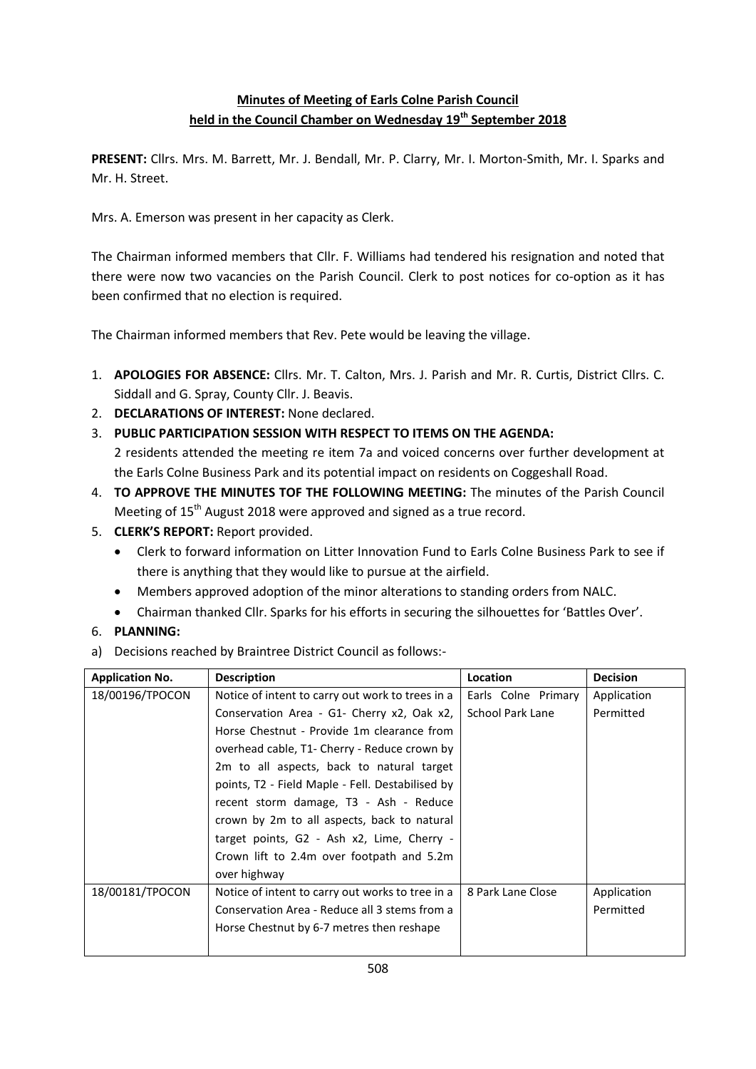## **Minutes of Meeting of Earls Colne Parish Council held in the Council Chamber on Wednesday 19th September 2018**

**PRESENT:** Cllrs. Mrs. M. Barrett, Mr. J. Bendall, Mr. P. Clarry, Mr. I. Morton-Smith, Mr. I. Sparks and Mr. H. Street.

Mrs. A. Emerson was present in her capacity as Clerk.

The Chairman informed members that Cllr. F. Williams had tendered his resignation and noted that there were now two vacancies on the Parish Council. Clerk to post notices for co-option as it has been confirmed that no election is required.

The Chairman informed members that Rev. Pete would be leaving the village.

- 1. **APOLOGIES FOR ABSENCE:** Cllrs. Mr. T. Calton, Mrs. J. Parish and Mr. R. Curtis, District Cllrs. C. Siddall and G. Spray, County Cllr. J. Beavis.
- 2. **DECLARATIONS OF INTEREST:** None declared.
- 3. **PUBLIC PARTICIPATION SESSION WITH RESPECT TO ITEMS ON THE AGENDA:**

2 residents attended the meeting re item 7a and voiced concerns over further development at the Earls Colne Business Park and its potential impact on residents on Coggeshall Road.

- 4. **TO APPROVE THE MINUTES TOF THE FOLLOWING MEETING:** The minutes of the Parish Council Meeting of 15<sup>th</sup> August 2018 were approved and signed as a true record.
- 5. **CLERK'S REPORT:** Report provided.
	- Clerk to forward information on Litter Innovation Fund to Earls Colne Business Park to see if there is anything that they would like to pursue at the airfield.
	- Members approved adoption of the minor alterations to standing orders from NALC.
	- Chairman thanked Cllr. Sparks for his efforts in securing the silhouettes for 'Battles Over'.
- 6. **PLANNING:**
- a) Decisions reached by Braintree District Council as follows:-

| <b>Application No.</b> | <b>Description</b>                               | Location                | <b>Decision</b> |
|------------------------|--------------------------------------------------|-------------------------|-----------------|
| 18/00196/TPOCON        | Notice of intent to carry out work to trees in a | Earls Colne Primary     | Application     |
|                        | Conservation Area - G1- Cherry x2, Oak x2,       | <b>School Park Lane</b> | Permitted       |
|                        | Horse Chestnut - Provide 1m clearance from       |                         |                 |
|                        | overhead cable, T1- Cherry - Reduce crown by     |                         |                 |
|                        | 2m to all aspects, back to natural target        |                         |                 |
|                        | points, T2 - Field Maple - Fell. Destabilised by |                         |                 |
|                        | recent storm damage, T3 - Ash - Reduce           |                         |                 |
|                        | crown by 2m to all aspects, back to natural      |                         |                 |
|                        | target points, G2 - Ash x2, Lime, Cherry -       |                         |                 |
|                        | Crown lift to 2.4m over footpath and 5.2m        |                         |                 |
|                        | over highway                                     |                         |                 |
| 18/00181/TPOCON        | Notice of intent to carry out works to tree in a | 8 Park Lane Close       | Application     |
|                        | Conservation Area - Reduce all 3 stems from a    |                         | Permitted       |
|                        | Horse Chestnut by 6-7 metres then reshape        |                         |                 |
|                        |                                                  |                         |                 |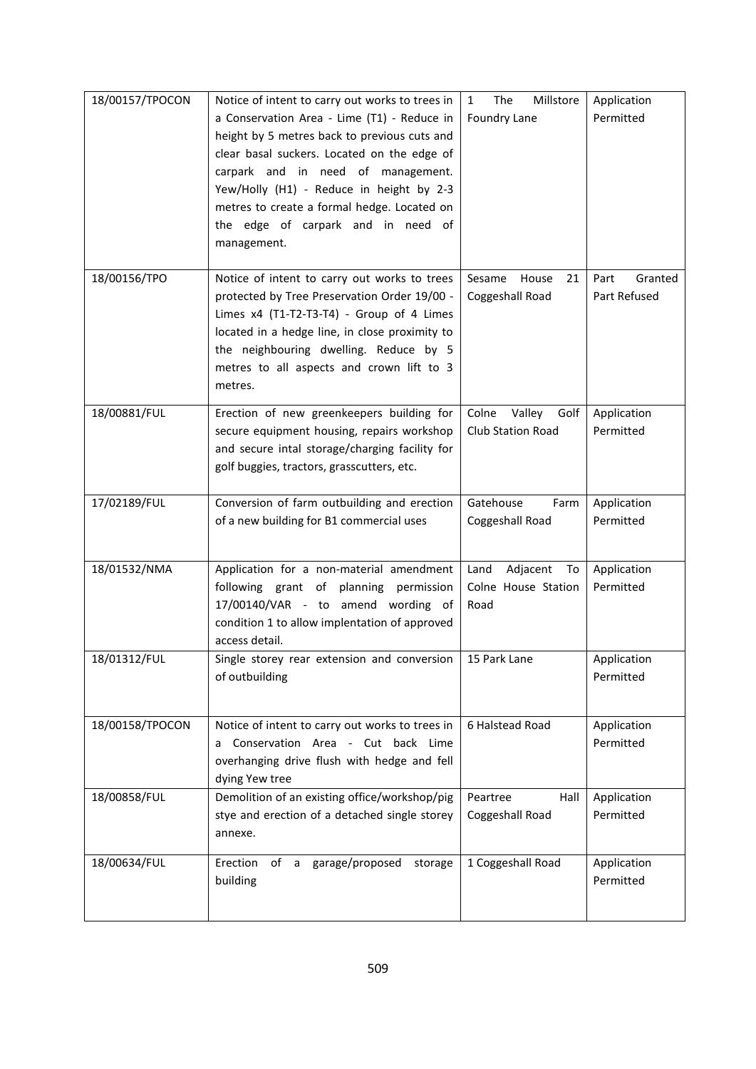| 18/00157/TPOCON | Notice of intent to carry out works to trees in<br>a Conservation Area - Lime (T1) - Reduce in<br>height by 5 metres back to previous cuts and                                                                                                                                                | Millstore<br>The<br>$\mathbf{1}$<br>Foundry Lane      | Application<br>Permitted        |
|-----------------|-----------------------------------------------------------------------------------------------------------------------------------------------------------------------------------------------------------------------------------------------------------------------------------------------|-------------------------------------------------------|---------------------------------|
|                 | clear basal suckers. Located on the edge of<br>carpark and in need of management.<br>Yew/Holly (H1) - Reduce in height by 2-3                                                                                                                                                                 |                                                       |                                 |
|                 | metres to create a formal hedge. Located on<br>the edge of carpark and in need of<br>management.                                                                                                                                                                                              |                                                       |                                 |
| 18/00156/TPO    | Notice of intent to carry out works to trees<br>protected by Tree Preservation Order 19/00 -<br>Limes x4 (T1-T2-T3-T4) - Group of 4 Limes<br>located in a hedge line, in close proximity to<br>the neighbouring dwelling. Reduce by 5<br>metres to all aspects and crown lift to 3<br>metres. | Sesame<br>House<br>21<br>Coggeshall Road              | Granted<br>Part<br>Part Refused |
| 18/00881/FUL    | Erection of new greenkeepers building for<br>secure equipment housing, repairs workshop<br>and secure intal storage/charging facility for<br>golf buggies, tractors, grasscutters, etc.                                                                                                       | Colne Valley<br>Golf<br><b>Club Station Road</b>      | Application<br>Permitted        |
| 17/02189/FUL    | Conversion of farm outbuilding and erection<br>of a new building for B1 commercial uses                                                                                                                                                                                                       | Gatehouse<br>Farm<br>Coggeshall Road                  | Application<br>Permitted        |
| 18/01532/NMA    | Application for a non-material amendment<br>following grant of planning permission<br>17/00140/VAR - to amend wording of<br>condition 1 to allow implentation of approved<br>access detail.                                                                                                   | Adjacent<br>Land<br>To<br>Colne House Station<br>Road | Application<br>Permitted        |
| 18/01312/FUL    | Single storey rear extension and conversion<br>of outbuilding                                                                                                                                                                                                                                 | 15 Park Lane                                          | Application<br>Permitted        |
| 18/00158/TPOCON | Notice of intent to carry out works to trees in<br>a Conservation Area - Cut back Lime<br>overhanging drive flush with hedge and fell<br>dying Yew tree                                                                                                                                       | 6 Halstead Road                                       | Application<br>Permitted        |
| 18/00858/FUL    | Demolition of an existing office/workshop/pig<br>stye and erection of a detached single storey<br>annexe.                                                                                                                                                                                     | Peartree<br>Hall<br>Coggeshall Road                   | Application<br>Permitted        |
| 18/00634/FUL    | Erection<br>garage/proposed<br>of a<br>storage<br>building                                                                                                                                                                                                                                    | 1 Coggeshall Road                                     | Application<br>Permitted        |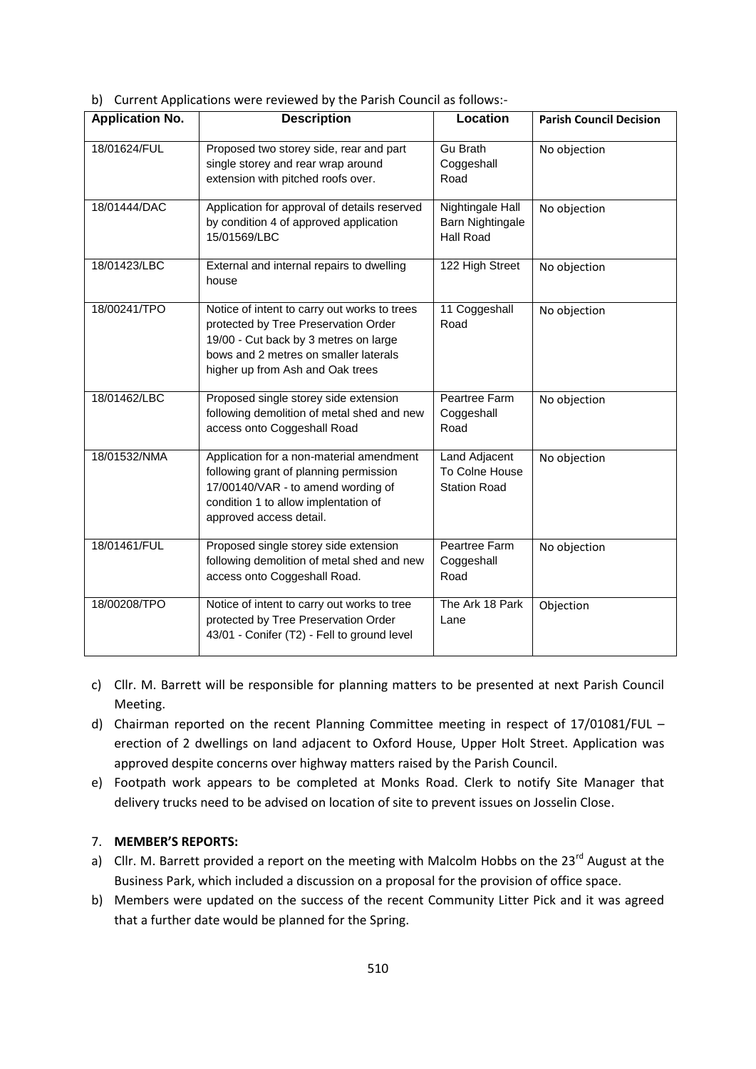b) Current Applications were reviewed by the Parish Council as follows:-

| <b>Application No.</b> | <b>Description</b>                                                                                                                                                                                         | Location                                               | <b>Parish Council Decision</b> |
|------------------------|------------------------------------------------------------------------------------------------------------------------------------------------------------------------------------------------------------|--------------------------------------------------------|--------------------------------|
| 18/01624/FUL           | Proposed two storey side, rear and part<br>single storey and rear wrap around<br>extension with pitched roofs over.                                                                                        | <b>Gu Brath</b><br>Coggeshall<br>Road                  | No objection                   |
| 18/01444/DAC           | Application for approval of details reserved<br>by condition 4 of approved application<br>15/01569/LBC                                                                                                     | Nightingale Hall<br>Barn Nightingale<br>Hall Road      | No objection                   |
| 18/01423/LBC           | External and internal repairs to dwelling<br>house                                                                                                                                                         | 122 High Street                                        | No objection                   |
| 18/00241/TPO           | Notice of intent to carry out works to trees<br>protected by Tree Preservation Order<br>19/00 - Cut back by 3 metres on large<br>bows and 2 metres on smaller laterals<br>higher up from Ash and Oak trees | 11 Coggeshall<br>Road                                  | No objection                   |
| 18/01462/LBC           | Proposed single storey side extension<br>following demolition of metal shed and new<br>access onto Coggeshall Road                                                                                         | Peartree Farm<br>Coggeshall<br>Road                    | No objection                   |
| 18/01532/NMA           | Application for a non-material amendment<br>following grant of planning permission<br>17/00140/VAR - to amend wording of<br>condition 1 to allow implentation of<br>approved access detail.                | Land Adjacent<br>To Colne House<br><b>Station Road</b> | No objection                   |
| 18/01461/FUL           | Proposed single storey side extension<br>following demolition of metal shed and new<br>access onto Coggeshall Road.                                                                                        | Peartree Farm<br>Coggeshall<br>Road                    | No objection                   |
| 18/00208/TPO           | Notice of intent to carry out works to tree<br>protected by Tree Preservation Order<br>43/01 - Conifer (T2) - Fell to ground level                                                                         | The Ark 18 Park<br>Lane                                | Objection                      |

- c) Cllr. M. Barrett will be responsible for planning matters to be presented at next Parish Council Meeting.
- d) Chairman reported on the recent Planning Committee meeting in respect of 17/01081/FUL erection of 2 dwellings on land adjacent to Oxford House, Upper Holt Street. Application was approved despite concerns over highway matters raised by the Parish Council.
- e) Footpath work appears to be completed at Monks Road. Clerk to notify Site Manager that delivery trucks need to be advised on location of site to prevent issues on Josselin Close.

## 7. **MEMBER'S REPORTS:**

- a) Cllr. M. Barrett provided a report on the meeting with Malcolm Hobbs on the 23<sup>rd</sup> August at the Business Park, which included a discussion on a proposal for the provision of office space.
- b) Members were updated on the success of the recent Community Litter Pick and it was agreed that a further date would be planned for the Spring.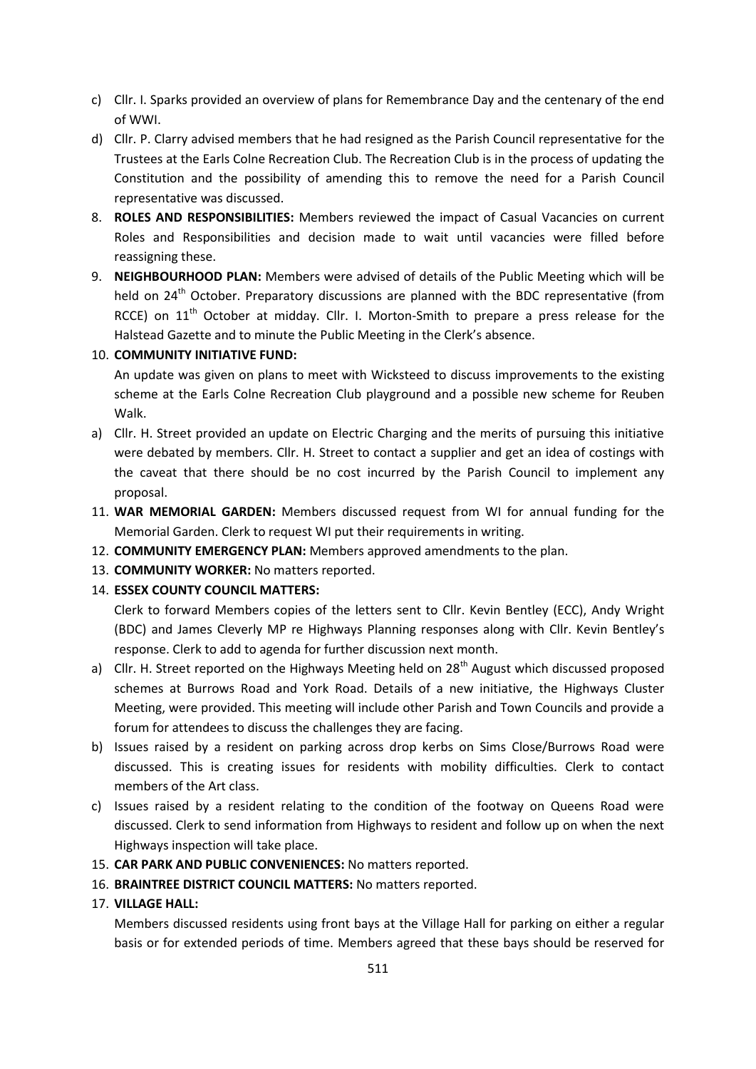- c) Cllr. I. Sparks provided an overview of plans for Remembrance Day and the centenary of the end of WWI.
- d) Cllr. P. Clarry advised members that he had resigned as the Parish Council representative for the Trustees at the Earls Colne Recreation Club. The Recreation Club is in the process of updating the Constitution and the possibility of amending this to remove the need for a Parish Council representative was discussed.
- 8. **ROLES AND RESPONSIBILITIES:** Members reviewed the impact of Casual Vacancies on current Roles and Responsibilities and decision made to wait until vacancies were filled before reassigning these.
- 9. **NEIGHBOURHOOD PLAN:** Members were advised of details of the Public Meeting which will be held on 24<sup>th</sup> October. Preparatory discussions are planned with the BDC representative (from RCCE) on 11<sup>th</sup> October at midday. Cllr. I. Morton-Smith to prepare a press release for the Halstead Gazette and to minute the Public Meeting in the Clerk's absence.

## 10. **COMMUNITY INITIATIVE FUND:**

An update was given on plans to meet with Wicksteed to discuss improvements to the existing scheme at the Earls Colne Recreation Club playground and a possible new scheme for Reuben Walk.

- a) Cllr. H. Street provided an update on Electric Charging and the merits of pursuing this initiative were debated by members. Cllr. H. Street to contact a supplier and get an idea of costings with the caveat that there should be no cost incurred by the Parish Council to implement any proposal.
- 11. **WAR MEMORIAL GARDEN:** Members discussed request from WI for annual funding for the Memorial Garden. Clerk to request WI put their requirements in writing.
- 12. **COMMUNITY EMERGENCY PLAN:** Members approved amendments to the plan.
- 13. **COMMUNITY WORKER:** No matters reported.
- 14. **ESSEX COUNTY COUNCIL MATTERS:**

Clerk to forward Members copies of the letters sent to Cllr. Kevin Bentley (ECC), Andy Wright (BDC) and James Cleverly MP re Highways Planning responses along with Cllr. Kevin Bentley's response. Clerk to add to agenda for further discussion next month.

- a) Cllr. H. Street reported on the Highways Meeting held on  $28<sup>th</sup>$  August which discussed proposed schemes at Burrows Road and York Road. Details of a new initiative, the Highways Cluster Meeting, were provided. This meeting will include other Parish and Town Councils and provide a forum for attendees to discuss the challenges they are facing.
- b) Issues raised by a resident on parking across drop kerbs on Sims Close/Burrows Road were discussed. This is creating issues for residents with mobility difficulties. Clerk to contact members of the Art class.
- c) Issues raised by a resident relating to the condition of the footway on Queens Road were discussed. Clerk to send information from Highways to resident and follow up on when the next Highways inspection will take place.
- 15. **CAR PARK AND PUBLIC CONVENIENCES:** No matters reported.
- 16. **BRAINTREE DISTRICT COUNCIL MATTERS:** No matters reported.

## 17. **VILLAGE HALL:**

Members discussed residents using front bays at the Village Hall for parking on either a regular basis or for extended periods of time. Members agreed that these bays should be reserved for